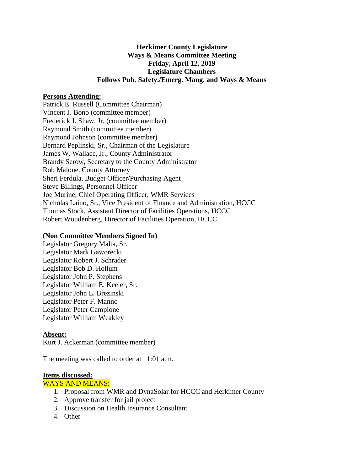# **Herkimer County Legislature Ways & Means Committee Meeting Friday, April 12, 2019 Legislature Chambers Follows Pub. Safety./Emerg. Mang. and Ways & Means**

## **Persons Attending:**

Patrick E. Russell (Committee Chairman) Vincent J. Bono (committee member) Frederick J. Shaw, Jr. (committee member) Raymond Smith (committee member) Raymond Johnson (committee member) Bernard Peplinski, Sr., Chairman of the Legislature James W. Wallace, Jr., County Administrator Brandy Serow, Secretary to the County Administrator Rob Malone, County Attorney Sheri Ferdula, Budget Officer/Purchasing Agent Steve Billings, Personnel Officer Joe Murine, Chief Operating Officer, WMR Services Nicholas Laino, Sr., Vice President of Finance and Administration, HCCC Thomas Stock, Assistant Director of Facilities Operations, HCCC Robert Woudenberg, Director of Facilities Operation, HCCC

### **(Non Committee Members Signed In)**

Legislator Gregory Malta, Sr. Legislator Mark Gaworecki Legislator Robert J. Schrader Legislator Bob D. Hollum Legislator John P. Stephens Legislator William E. Keeler, Sr. Legislator John L. Brezinski Legislator Peter F. Manno Legislator Peter Campione Legislator William Weakley

#### **Absent:**

Kurt J. Ackerman (committee member)

The meeting was called to order at 11:01 a.m.

#### **Items discussed:**

### WAYS AND MEANS:

- 1. Proposal from WMR and DynaSolar for HCCC and Herkimer County
- 2. Approve transfer for jail project
- 3. Discussion on Health Insurance Consultant
- 4. Other